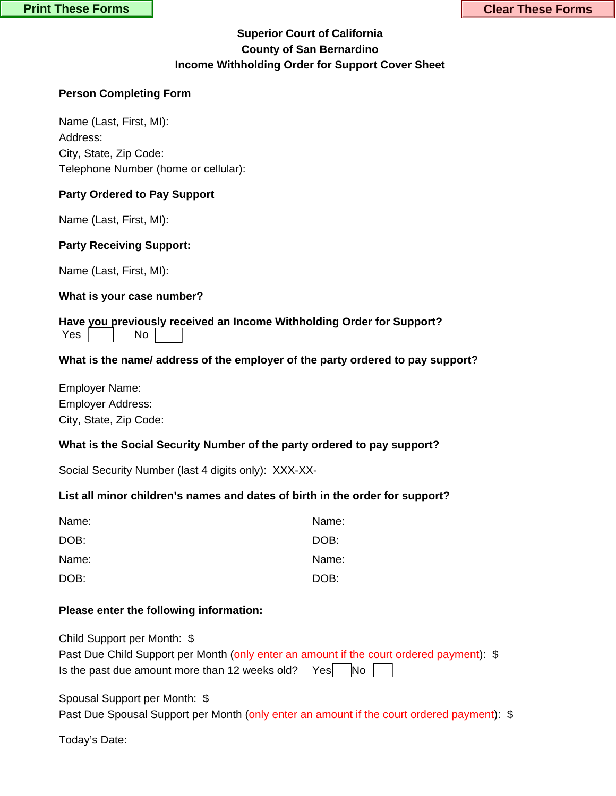# **Superior Court of California County of San Bernardino Income Withholding Order for Support Cover Sheet**

## **Person Completing Form**

Name (Last, First, MI): Address: City, State, Zip Code: Telephone Number (home or cellular):

## **Party Ordered to Pay Support**

Name (Last, First, MI):

### **Party Receiving Support:**

Name (Last, First, MI):

#### **What is your case number?**

**Have you previously received an Income Withholding Order for Support?**   $Yes |$  No

## **What is the name/ address of the employer of the party ordered to pay support?**

Employer Name: Employer Address: City, State, Zip Code:

#### **What is the Social Security Number of the party ordered to pay support?**

Social Security Number (last 4 digits only): XXX-XX-

#### **List all minor children's names and dates of birth in the order for support?**

| Name: | Name: |
|-------|-------|
| DOB:  | DOB:  |
| Name: | Name: |
| DOB:  | DOB:  |

#### **Please enter the following information:**

Child Support per Month: \$

| Past Due Child Support per Month (only enter an amount if the court ordered payment): \$ |  |  |
|------------------------------------------------------------------------------------------|--|--|
| Is the past due amount more than 12 weeks old? $Yes$ No                                  |  |  |

Spousal Support per Month: \$

Past Due Spousal Support per Month (only enter an amount if the court ordered payment): \$

Today's Date: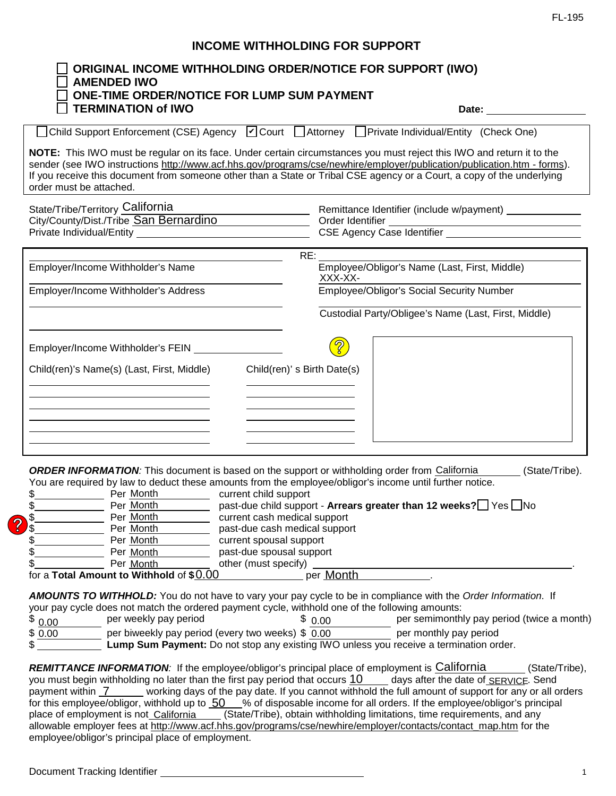| <b>AMENDED IWO</b><br><b>ONE-TIME ORDER/NOTICE FOR LUMP SUM PAYMENT</b><br><b>TERMINATION of IWO</b>                                                                                                                                                           |                                                                                                                                                                                                                                                                                                                                                                            |
|----------------------------------------------------------------------------------------------------------------------------------------------------------------------------------------------------------------------------------------------------------------|----------------------------------------------------------------------------------------------------------------------------------------------------------------------------------------------------------------------------------------------------------------------------------------------------------------------------------------------------------------------------|
|                                                                                                                                                                                                                                                                | Child Support Enforcement (CSE) Agency $\boxed{\triangleright}$ Court $\boxed{\phantom{a}}$ Attorney $\boxed{\phantom{a}}$ Private Individual/Entity (Check One)                                                                                                                                                                                                           |
| order must be attached.                                                                                                                                                                                                                                        | NOTE: This IWO must be regular on its face. Under certain circumstances you must reject this IWO and return it to the<br>sender (see IWO instructions http://www.acf.hhs.gov/programs/cse/newhire/employer/publication/publication.htm - forms).<br>If you receive this document from someone other than a State or Tribal CSE agency or a Court, a copy of the underlying |
| State/Tribe/Territory California                                                                                                                                                                                                                               |                                                                                                                                                                                                                                                                                                                                                                            |
|                                                                                                                                                                                                                                                                |                                                                                                                                                                                                                                                                                                                                                                            |
|                                                                                                                                                                                                                                                                |                                                                                                                                                                                                                                                                                                                                                                            |
|                                                                                                                                                                                                                                                                | RE:                                                                                                                                                                                                                                                                                                                                                                        |
| Employer/Income Withholder's Name                                                                                                                                                                                                                              | Employee/Obligor's Name (Last, First, Middle)<br>XXX-XX-                                                                                                                                                                                                                                                                                                                   |
| Employer/Income Withholder's Address                                                                                                                                                                                                                           | Employee/Obligor's Social Security Number                                                                                                                                                                                                                                                                                                                                  |
|                                                                                                                                                                                                                                                                | Custodial Party/Obligee's Name (Last, First, Middle)                                                                                                                                                                                                                                                                                                                       |
|                                                                                                                                                                                                                                                                |                                                                                                                                                                                                                                                                                                                                                                            |
| Employer/Income Withholder's FEIN [1994]                                                                                                                                                                                                                       | $\partial$                                                                                                                                                                                                                                                                                                                                                                 |
| Child(ren)'s Name(s) (Last, First, Middle)                                                                                                                                                                                                                     | Child(ren)' s Birth Date(s)                                                                                                                                                                                                                                                                                                                                                |
|                                                                                                                                                                                                                                                                |                                                                                                                                                                                                                                                                                                                                                                            |
|                                                                                                                                                                                                                                                                |                                                                                                                                                                                                                                                                                                                                                                            |
|                                                                                                                                                                                                                                                                |                                                                                                                                                                                                                                                                                                                                                                            |
| <u> 1989 - Johann Barn, mars et al. (b. 1989)</u>                                                                                                                                                                                                              |                                                                                                                                                                                                                                                                                                                                                                            |
| <u> 1989 - Johann Stein, mars an de Brasilian (b. 1989)</u>                                                                                                                                                                                                    |                                                                                                                                                                                                                                                                                                                                                                            |
|                                                                                                                                                                                                                                                                |                                                                                                                                                                                                                                                                                                                                                                            |
| <b>ORDER INFORMATION:</b> This document is based on the support or withholding order from California                                                                                                                                                           | (State/Tribe).                                                                                                                                                                                                                                                                                                                                                             |
| You are required by law to deduct these amounts from the employee/obligor's income until further notice.<br>Per Month<br>current child support                                                                                                                 |                                                                                                                                                                                                                                                                                                                                                                            |
|                                                                                                                                                                                                                                                                | past-due child support - Arrears greater than 12 weeks? Yes No                                                                                                                                                                                                                                                                                                             |
|                                                                                                                                                                                                                                                                | current cash medical support                                                                                                                                                                                                                                                                                                                                               |
| Per Month<br>Per Month                                                                                                                                                                                                                                         |                                                                                                                                                                                                                                                                                                                                                                            |
| Per Month                                                                                                                                                                                                                                                      | past-due cash medical support                                                                                                                                                                                                                                                                                                                                              |
| Per Month                                                                                                                                                                                                                                                      | current spousal support                                                                                                                                                                                                                                                                                                                                                    |
| Per Month                                                                                                                                                                                                                                                      | past-due spousal support                                                                                                                                                                                                                                                                                                                                                   |
| other (must specify)<br>Per Month                                                                                                                                                                                                                              | per <u>Month</u>                                                                                                                                                                                                                                                                                                                                                           |
|                                                                                                                                                                                                                                                                |                                                                                                                                                                                                                                                                                                                                                                            |
|                                                                                                                                                                                                                                                                | <b>AMOUNTS TO WITHHOLD:</b> You do not have to vary your pay cycle to be in compliance with the Order Information. If                                                                                                                                                                                                                                                      |
|                                                                                                                                                                                                                                                                |                                                                                                                                                                                                                                                                                                                                                                            |
| \$<br>\$<br>for a Total Amount to Withhold of $$0.00$<br>your pay cycle does not match the ordered payment cycle, withhold one of the following amounts:<br>per weekly pay period<br>\$0.00<br>per biweekly pay period (every two weeks) \$ 0.00<br>0.00<br>\$ | per semimonthly pay period (twice a month)<br>\$0.00<br>per monthly pay period                                                                                                                                                                                                                                                                                             |

| <b>REMITTANCE INFORMATION:</b> If the employee/obligor's principal place of employment is California<br>(State/Tribe),  |  |  |  |
|-------------------------------------------------------------------------------------------------------------------------|--|--|--|
| you must begin withholding no later than the first pay period that occurs 10 days after the date of SERVICE. Send       |  |  |  |
| payment within 7 working days of the pay date. If you cannot withhold the full amount of support for any or all orders  |  |  |  |
| for this employee/obligor, withhold up to 50 % of disposable income for all orders. If the employee/obligor's principal |  |  |  |
| place of employment is not California (State/Tribe), obtain withholding limitations, time requirements, and any         |  |  |  |
| allowable employer fees at http://www.acf.hhs.gov/programs/cse/newhire/employer/contacts/contact_map.htm for the        |  |  |  |
| employee/obligor's principal place of employment.                                                                       |  |  |  |

FL-195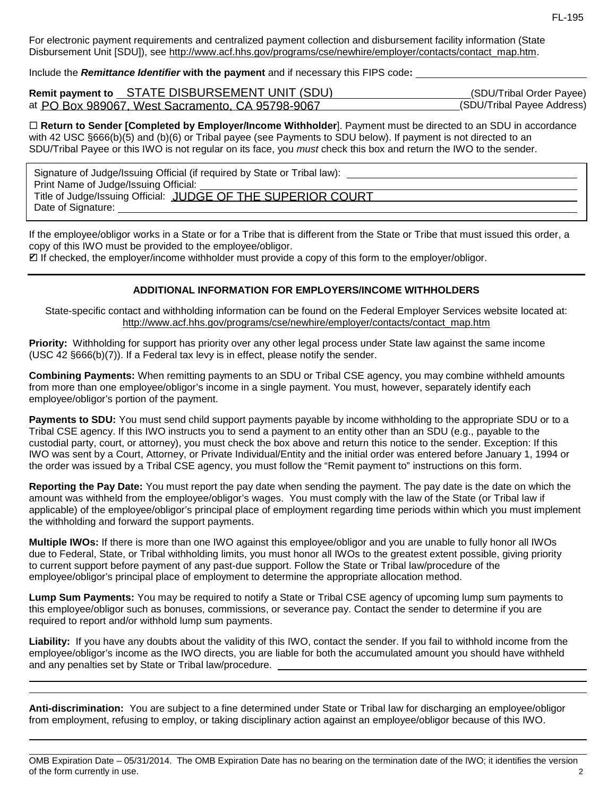For electronic payment requirements and centralized payment collection and disbursement facility information (State Disbursement Unit [SDU]), see [http://www.acf.hhs.gov/programs/cse/newhire/employer/contacts/contact\\_map.htm.](http://www.acf.hhs.gov/programs/cse/newhire/employer/contacts/contact_map.htm)

Include the *Remittance Identifier* **with the payment** and if necessary this FIPS code**:** 

| Remit payment to STATE DISBURSEMENT UNIT (SDU)   | (SDU/Tribal Order Payee)   |
|--------------------------------------------------|----------------------------|
| at PO Box 989067, West Sacramento, CA 95798-9067 | (SDU/Tribal Payee Address) |

 **Return to Sender [Completed by Employer/Income Withholder**]. Payment must be directed to an SDU in accordance with 42 USC §666(b)(5) and (b)(6) or Tribal payee (see Payments to SDU below). If payment is not directed to an SDU/Tribal Payee or this IWO is not regular on its face, you *must* check this box and return the IWO to the sender.

Signature of Judge/Issuing Official (if required by State or Tribal law): Print Name of Judge/Issuing Official: Title of Judge/Issuing Official: JUDGE OF THE SUPERIOR COURT Date of Signature:

If the employee/obligor works in a State or for a Tribe that is different from the State or Tribe that must issued this order, a copy of this IWO must be provided to the employee/obligor.

 $\Sigma$  If checked, the employer/income withholder must provide a copy of this form to the employer/obligor.

#### **ADDITIONAL INFORMATION FOR EMPLOYERS/INCOME WITHHOLDERS**

State-specific contact and withholding information can be found on the Federal Employer Services website located at: [http://www.acf.hhs.gov/programs/cse/newhire/employer/contacts/contact\\_map.htm](http://www.acf.hhs.gov/programs/cse/newhire/employer/contacts/contact_map.htm)

Priority: Withholding for support has priority over any other legal process under State law against the same income (USC 42 §666(b)(7)). If a Federal tax levy is in effect, please notify the sender.

**Combining Payments:** When remitting payments to an SDU or Tribal CSE agency, you may combine withheld amounts from more than one employee/obligor's income in a single payment. You must, however, separately identify each employee/obligor's portion of the payment.

**Payments to SDU:** You must send child support payments payable by income withholding to the appropriate SDU or to a Tribal CSE agency. If this IWO instructs you to send a payment to an entity other than an SDU (e.g., payable to the custodial party, court, or attorney), you must check the box above and return this notice to the sender. Exception: If this IWO was sent by a Court, Attorney, or Private Individual/Entity and the initial order was entered before January 1, 1994 or the order was issued by a Tribal CSE agency, you must follow the "Remit payment to" instructions on this form.

**Reporting the Pay Date:** You must report the pay date when sending the payment. The pay date is the date on which the amount was withheld from the employee/obligor's wages. You must comply with the law of the State (or Tribal law if applicable) of the employee/obligor's principal place of employment regarding time periods within which you must implement the withholding and forward the support payments.

**Multiple IWOs:** If there is more than one IWO against this employee/obligor and you are unable to fully honor all IWOs due to Federal, State, or Tribal withholding limits, you must honor all IWOs to the greatest extent possible, giving priority to current support before payment of any past-due support. Follow the State or Tribal law/procedure of the employee/obligor's principal place of employment to determine the appropriate allocation method.

**Lump Sum Payments:** You may be required to notify a State or Tribal CSE agency of upcoming lump sum payments to this employee/obligor such as bonuses, commissions, or severance pay. Contact the sender to determine if you are required to report and/or withhold lump sum payments.

**Liability:** If you have any doubts about the validity of this IWO, contact the sender. If you fail to withhold income from the employee/obligor's income as the IWO directs, you are liable for both the accumulated amount you should have withheld and any penalties set by State or Tribal law/procedure.

**Anti-discrimination:** You are subject to a fine determined under State or Tribal law for discharging an employee/obligor from employment, refusing to employ, or taking disciplinary action against an employee/obligor because of this IWO.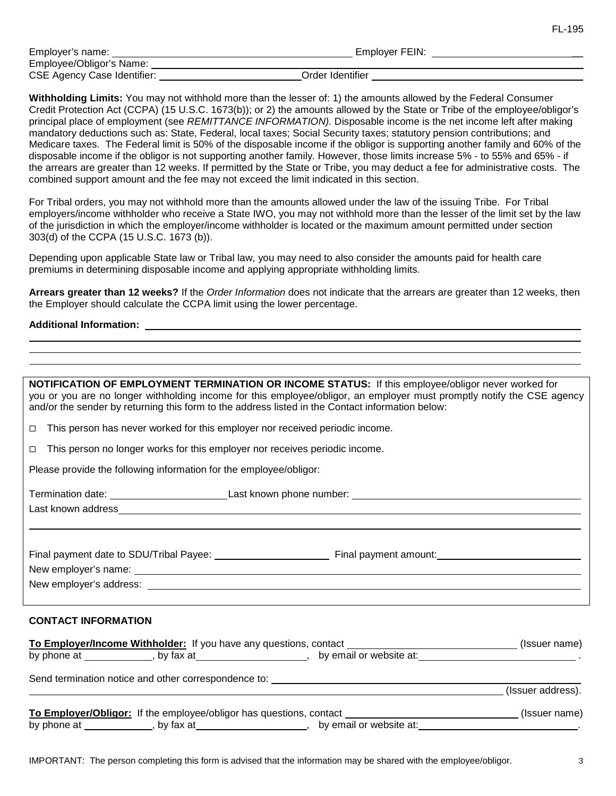| Employer's name:            | Emplover FEIN:   |
|-----------------------------|------------------|
| Employee/Obligor's Name:    |                  |
| CSE Agency Case Identifier: | Order Identifier |

**Withholding Limits:** You may not withhold more than the lesser of: 1) the amounts allowed by the Federal Consumer Credit Protection Act (CCPA) (15 U.S.C. 1673(b)); or 2) the amounts allowed by the State or Tribe of the employee/obligor's principal place of employment (see *REMITTANCE INFORMATION).* Disposable income is the net income left after making mandatory deductions such as: State, Federal, local taxes; Social Security taxes; statutory pension contributions; and Medicare taxes. The Federal limit is 50% of the disposable income if the obligor is supporting another family and 60% of the disposable income if the obligor is not supporting another family. However, those limits increase 5% - to 55% and 65% - if the arrears are greater than 12 weeks. If permitted by the State or Tribe, you may deduct a fee for administrative costs. The combined support amount and the fee may not exceed the limit indicated in this section.

For Tribal orders, you may not withhold more than the amounts allowed under the law of the issuing Tribe. For Tribal employers/income withholder who receive a State IWO, you may not withhold more than the lesser of the limit set by the law of the jurisdiction in which the employer/income withholder is located or the maximum amount permitted under section 303(d) of the CCPA (15 U.S.C. 1673 (b)).

Depending upon applicable State law or Tribal law, you may need to also consider the amounts paid for health care premiums in determining disposable income and applying appropriate withholding limits.

**Arrears greater than 12 weeks?** If the *Order Information* does not indicate that the arrears are greater than 12 weeks, then the Employer should calculate the CCPA limit using the lower percentage.

#### **Additional Information:**

| NOTIFICATION OF EMPLOYMENT TERMINATION OR INCOME STATUS: If this employee/obligor never worked for<br>you or you are no longer withholding income for this employee/obligor, an employer must promptly notify the CSE agency        |                   |  |
|-------------------------------------------------------------------------------------------------------------------------------------------------------------------------------------------------------------------------------------|-------------------|--|
| and/or the sender by returning this form to the address listed in the Contact information below:                                                                                                                                    |                   |  |
| This person has never worked for this employer nor received periodic income.                                                                                                                                                        |                   |  |
| This person no longer works for this employer nor receives periodic income.<br>□                                                                                                                                                    |                   |  |
| Please provide the following information for the employee/obligor:                                                                                                                                                                  |                   |  |
|                                                                                                                                                                                                                                     |                   |  |
|                                                                                                                                                                                                                                     |                   |  |
|                                                                                                                                                                                                                                     |                   |  |
| <b>CONTACT INFORMATION</b>                                                                                                                                                                                                          |                   |  |
| To Employer/Income Withholder: If you have any questions, contact __________________________________(Issuer name)<br>by phone at ______________, by fax at ____________________, by email or website at: ________________________   |                   |  |
|                                                                                                                                                                                                                                     |                   |  |
|                                                                                                                                                                                                                                     | (Issuer address). |  |
| To Employer/Obligor: If the employee/obligor has questions, contact _______________________________(Issuer name)<br>by phone at _____________, by fax at ___________________, by email or website at: ____________________________. |                   |  |

FL-195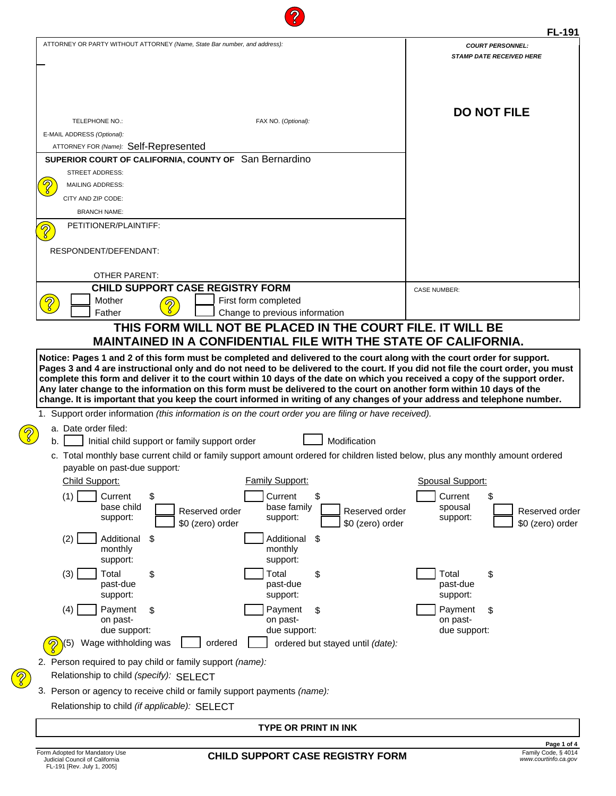|                                                                                                                                                                                                                                                                  |                                                                        | <b>FL-191</b>                   |
|------------------------------------------------------------------------------------------------------------------------------------------------------------------------------------------------------------------------------------------------------------------|------------------------------------------------------------------------|---------------------------------|
| ATTORNEY OR PARTY WITHOUT ATTORNEY (Name, State Bar number, and address):                                                                                                                                                                                        |                                                                        | <b>COURT PERSONNEL:</b>         |
|                                                                                                                                                                                                                                                                  |                                                                        | <b>STAMP DATE RECEIVED HERE</b> |
|                                                                                                                                                                                                                                                                  |                                                                        |                                 |
|                                                                                                                                                                                                                                                                  |                                                                        |                                 |
|                                                                                                                                                                                                                                                                  |                                                                        | <b>DO NOT FILE</b>              |
| TELEPHONE NO.:                                                                                                                                                                                                                                                   | FAX NO. (Optional):                                                    |                                 |
| E-MAIL ADDRESS (Optional):                                                                                                                                                                                                                                       |                                                                        |                                 |
| ATTORNEY FOR (Name): Self-Represented                                                                                                                                                                                                                            |                                                                        |                                 |
| SUPERIOR COURT OF CALIFORNIA, COUNTY OF San Bernardino                                                                                                                                                                                                           |                                                                        |                                 |
| <b>STREET ADDRESS:</b>                                                                                                                                                                                                                                           |                                                                        |                                 |
| $\bigcirc$<br><b>MAILING ADDRESS:</b>                                                                                                                                                                                                                            |                                                                        |                                 |
| CITY AND ZIP CODE:                                                                                                                                                                                                                                               |                                                                        |                                 |
| <b>BRANCH NAME:</b><br>PETITIONER/PLAINTIFF:                                                                                                                                                                                                                     |                                                                        |                                 |
| $\bigcirc$                                                                                                                                                                                                                                                       |                                                                        |                                 |
| RESPONDENT/DEFENDANT:                                                                                                                                                                                                                                            |                                                                        |                                 |
|                                                                                                                                                                                                                                                                  |                                                                        |                                 |
| <b>OTHER PARENT:</b>                                                                                                                                                                                                                                             |                                                                        |                                 |
| <b>CHILD SUPPORT CASE REGISTRY FORM</b>                                                                                                                                                                                                                          |                                                                        | <b>CASE NUMBER:</b>             |
| Mother                                                                                                                                                                                                                                                           | First form completed                                                   |                                 |
| Father                                                                                                                                                                                                                                                           | Change to previous information                                         |                                 |
|                                                                                                                                                                                                                                                                  | THIS FORM WILL NOT BE PLACED IN THE COURT FILE. IT WILL BE             |                                 |
|                                                                                                                                                                                                                                                                  | <b>MAINTAINED IN A CONFIDENTIAL FILE WITH THE STATE OF CALIFORNIA.</b> |                                 |
| Notice: Pages 1 and 2 of this form must be completed and delivered to the court along with the court order for support.                                                                                                                                          |                                                                        |                                 |
| Pages 3 and 4 are instructional only and do not need to be delivered to the court. If you did not file the court order, you must<br>complete this form and deliver it to the court within 10 days of the date on which you received a copy of the support order. |                                                                        |                                 |
| Any later change to the information on this form must be delivered to the court on another form within 10 days of the                                                                                                                                            |                                                                        |                                 |
| change. It is important that you keep the court informed in writing of any changes of your address and telephone number.                                                                                                                                         |                                                                        |                                 |
| 1. Support order information (this information is on the court order you are filing or have received).                                                                                                                                                           |                                                                        |                                 |
| a. Date order filed:                                                                                                                                                                                                                                             |                                                                        |                                 |
| Initial child support or family support order<br>b.                                                                                                                                                                                                              | Modification                                                           |                                 |
| c. Total monthly base current child or family support amount ordered for children listed below, plus any monthly amount ordered                                                                                                                                  |                                                                        |                                 |
| payable on past-due support:                                                                                                                                                                                                                                     |                                                                        |                                 |
| <b>Child Support:</b>                                                                                                                                                                                                                                            | <b>Family Support:</b>                                                 | Spousal Support:                |
| (1)<br>Current<br>\$<br>base child                                                                                                                                                                                                                               | Current<br>\$<br>base family                                           | Current<br>\$<br>spousal        |
| Reserved order<br>support:                                                                                                                                                                                                                                       | Reserved order<br>support:                                             | Reserved order<br>support:      |
| \$0 (zero) order                                                                                                                                                                                                                                                 | \$0 (zero) order                                                       | \$0 (zero) order                |
| (2)<br>Additional<br>-\$<br>monthly                                                                                                                                                                                                                              | Additional<br>\$                                                       |                                 |
| support:                                                                                                                                                                                                                                                         | monthly<br>support:                                                    |                                 |
| (3)<br>Total<br>\$                                                                                                                                                                                                                                               | Total<br>\$                                                            | Total<br>\$                     |
| past-due                                                                                                                                                                                                                                                         | past-due                                                               | past-due                        |
| support:                                                                                                                                                                                                                                                         | support:                                                               | support:                        |
| (4)<br>Payment<br>\$                                                                                                                                                                                                                                             | Payment<br>\$                                                          | Payment<br>\$                   |
| on past-<br>due support:                                                                                                                                                                                                                                         |                                                                        |                                 |
|                                                                                                                                                                                                                                                                  | on past-                                                               | on past-                        |
|                                                                                                                                                                                                                                                                  | due support:                                                           | due support:                    |
| Wage withholding was<br>ordered<br>(5)                                                                                                                                                                                                                           | ordered but stayed until (date):                                       |                                 |
|                                                                                                                                                                                                                                                                  |                                                                        |                                 |
| Relationship to child (specify): SELECT                                                                                                                                                                                                                          |                                                                        |                                 |
|                                                                                                                                                                                                                                                                  |                                                                        |                                 |
| Relationship to child (if applicable): SELECT                                                                                                                                                                                                                    |                                                                        |                                 |
| 2. Person required to pay child or family support <i>(name)</i> :<br>3. Person or agency to receive child or family support payments (name):                                                                                                                     | <b>TYPE OR PRINT IN INK</b>                                            |                                 |

?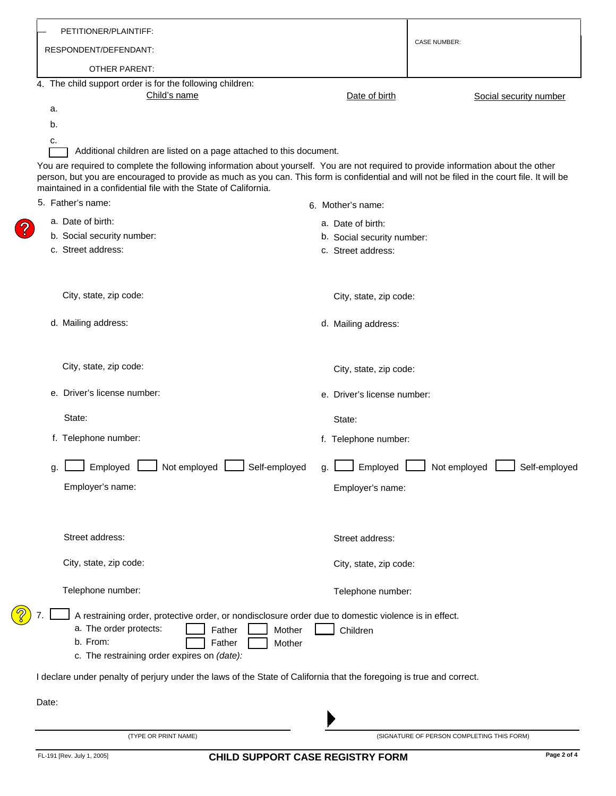| PETITIONER/PLAINTIFF:                                                                                                                                                                                                                                                                                                                                |                             |                                                                                                          |
|------------------------------------------------------------------------------------------------------------------------------------------------------------------------------------------------------------------------------------------------------------------------------------------------------------------------------------------------------|-----------------------------|----------------------------------------------------------------------------------------------------------|
| RESPONDENT/DEFENDANT:                                                                                                                                                                                                                                                                                                                                |                             | <b>CASE NUMBER:</b>                                                                                      |
| <b>OTHER PARENT:</b>                                                                                                                                                                                                                                                                                                                                 |                             |                                                                                                          |
| 4. The child support order is for the following children:                                                                                                                                                                                                                                                                                            |                             |                                                                                                          |
| Child's name                                                                                                                                                                                                                                                                                                                                         | Date of birth               | Social security number                                                                                   |
| a.                                                                                                                                                                                                                                                                                                                                                   |                             |                                                                                                          |
| b.                                                                                                                                                                                                                                                                                                                                                   |                             |                                                                                                          |
| c.<br>Additional children are listed on a page attached to this document.                                                                                                                                                                                                                                                                            |                             |                                                                                                          |
| You are required to complete the following information about yourself. You are not required to provide information about the other<br>person, but you are encouraged to provide as much as you can. This form is confidential and will not be filed in the court file. It will be<br>maintained in a confidential file with the State of California. |                             |                                                                                                          |
| 5. Father's name:                                                                                                                                                                                                                                                                                                                                    | 6. Mother's name:           |                                                                                                          |
| a. Date of birth:                                                                                                                                                                                                                                                                                                                                    | a. Date of birth:           |                                                                                                          |
| b. Social security number:                                                                                                                                                                                                                                                                                                                           | b. Social security number:  |                                                                                                          |
| c. Street address:                                                                                                                                                                                                                                                                                                                                   | c. Street address:          |                                                                                                          |
|                                                                                                                                                                                                                                                                                                                                                      |                             |                                                                                                          |
| City, state, zip code:                                                                                                                                                                                                                                                                                                                               | City, state, zip code:      |                                                                                                          |
| d. Mailing address:                                                                                                                                                                                                                                                                                                                                  | d. Mailing address:         |                                                                                                          |
| City, state, zip code:                                                                                                                                                                                                                                                                                                                               | City, state, zip code:      |                                                                                                          |
| e. Driver's license number:                                                                                                                                                                                                                                                                                                                          | e. Driver's license number: |                                                                                                          |
| State:                                                                                                                                                                                                                                                                                                                                               | State:                      |                                                                                                          |
| f. Telephone number:                                                                                                                                                                                                                                                                                                                                 | f. Telephone number:        |                                                                                                          |
| g. $\boxed{\phantom{0}}$ Employed $\boxed{\phantom{0}}$ Not employed $\boxed{\phantom{0}}$ Self-employed                                                                                                                                                                                                                                             |                             | g. $\boxed{\phantom{0}}$ Employed $\boxed{\phantom{0}}$ Not employed $\boxed{\phantom{0}}$ Self-employed |
| Employer's name:                                                                                                                                                                                                                                                                                                                                     | Employer's name:            |                                                                                                          |
|                                                                                                                                                                                                                                                                                                                                                      |                             |                                                                                                          |
| Street address:                                                                                                                                                                                                                                                                                                                                      | Street address:             |                                                                                                          |
| City, state, zip code:                                                                                                                                                                                                                                                                                                                               | City, state, zip code:      |                                                                                                          |
| Telephone number:                                                                                                                                                                                                                                                                                                                                    | Telephone number:           |                                                                                                          |
| A restraining order, protective order, or nondisclosure order due to domestic violence is in effect.<br>a. The order protects:<br>Father<br>Mother<br>b. From:<br>Father<br>Mother<br>c. The restraining order expires on (date):                                                                                                                    | Children                    |                                                                                                          |
| I declare under penalty of perjury under the laws of the State of California that the foregoing is true and correct.                                                                                                                                                                                                                                 |                             |                                                                                                          |
|                                                                                                                                                                                                                                                                                                                                                      |                             |                                                                                                          |
| Date:                                                                                                                                                                                                                                                                                                                                                |                             |                                                                                                          |
| (TYPE OR PRINT NAME)                                                                                                                                                                                                                                                                                                                                 |                             | (SIGNATURE OF PERSON COMPLETING THIS FORM)                                                               |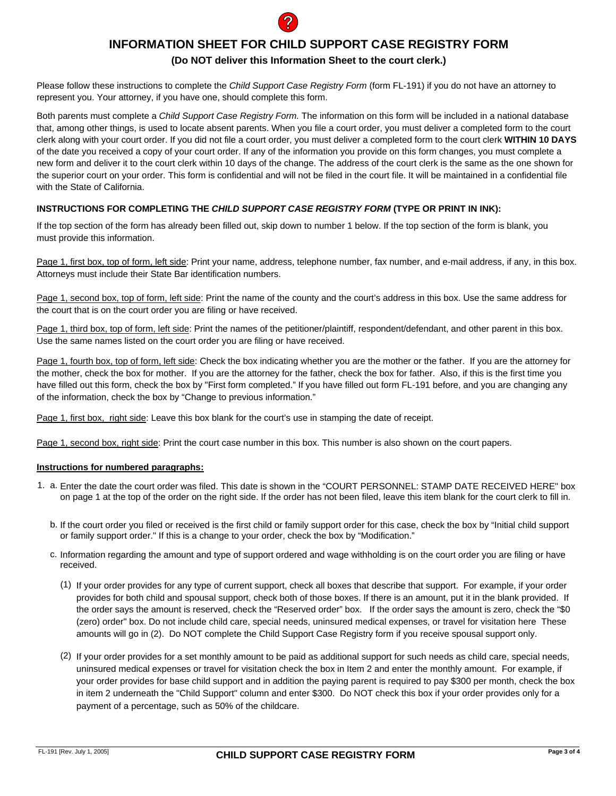

#### **INFORMATION SHEET FOR CHILD SUPPORT CASE REGISTRY FORM**

#### **(Do NOT deliver this Information Sheet to the court clerk.)**

Please follow these instructions to complete the *Child Support Case Registry Form* (form FL-191) if you do not have an attorney to represent you. Your attorney, if you have one, should complete this form.

Both parents must complete a *Child Support Case Registry Form.* The information on this form will be included in a national database that, among other things, is used to locate absent parents. When you file a court order, you must deliver a completed form to the court clerk along with your court order. If you did not file a court order, you must deliver a completed form to the court clerk **WITHIN 10 DAYS**  of the date you received a copy of your court order. If any of the information you provide on this form changes, you must complete a new form and deliver it to the court clerk within 10 days of the change. The address of the court clerk is the same as the one shown for the superior court on your order. This form is confidential and will not be filed in the court file. It will be maintained in a confidential file with the State of California.

#### **INSTRUCTIONS FOR COMPLETING THE** *CHILD SUPPORT CASE REGISTRY FORM* **(TYPE OR PRINT IN INK):**

If the top section of the form has already been filled out, skip down to number 1 below. If the top section of the form is blank, you must provide this information.

Page 1, first box, top of form, left side: Print your name, address, telephone number, fax number, and e-mail address, if any, in this box. Attorneys must include their State Bar identification numbers.

Page 1, second box, top of form, left side: Print the name of the county and the court's address in this box. Use the same address for the court that is on the court order you are filing or have received.

Page 1, third box, top of form, left side: Print the names of the petitioner/plaintiff, respondent/defendant, and other parent in this box. Use the same names listed on the court order you are filing or have received.

Page 1, fourth box, top of form, left side: Check the box indicating whether you are the mother or the father. If you are the attorney for the mother, check the box for mother. If you are the attorney for the father, check the box for father. Also, if this is the first time you have filled out this form, check the box by "First form completed." If you have filled out form FL-191 before, and you are changing any of the information, check the box by "Change to previous information."

Page 1, first box, right side: Leave this box blank for the court's use in stamping the date of receipt.

Page 1, second box, right side: Print the court case number in this box. This number is also shown on the court papers.

#### **Instructions for numbered paragraphs:**

- 1. a. Enter the date the court order was filed. This date is shown in the "COURT PERSONNEL: STAMP DATE RECEIVED HERE" box on page 1 at the top of the order on the right side. If the order has not been filed, leave this item blank for the court clerk to fill in.
	- b. If the court order you filed or received is the first child or family support order for this case, check the box by "Initial child support or family support order." If this is a change to your order, check the box by "Modification."
	- c. Information regarding the amount and type of support ordered and wage withholding is on the court order you are filing or have received.
		- If your order provides for any type of current support, check all boxes that describe that support. For example, if your order (1) provides for both child and spousal support, check both of those boxes. If there is an amount, put it in the blank provided. If the order says the amount is reserved, check the "Reserved order" box. If the order says the amount is zero, check the "\$0 (zero) order" box. Do not include child care, special needs, uninsured medical expenses, or travel for visitation here These amounts will go in (2). Do NOT complete the Child Support Case Registry form if you receive spousal support only.
		- If your order provides for a set monthly amount to be paid as additional support for such needs as child care, special needs, (2)uninsured medical expenses or travel for visitation check the box in Item 2 and enter the monthly amount. For example, if your order provides for base child support and in addition the paying parent is required to pay \$300 per month, check the box in item 2 underneath the "Child Support" column and enter \$300. Do NOT check this box if your order provides only for a payment of a percentage, such as 50% of the childcare.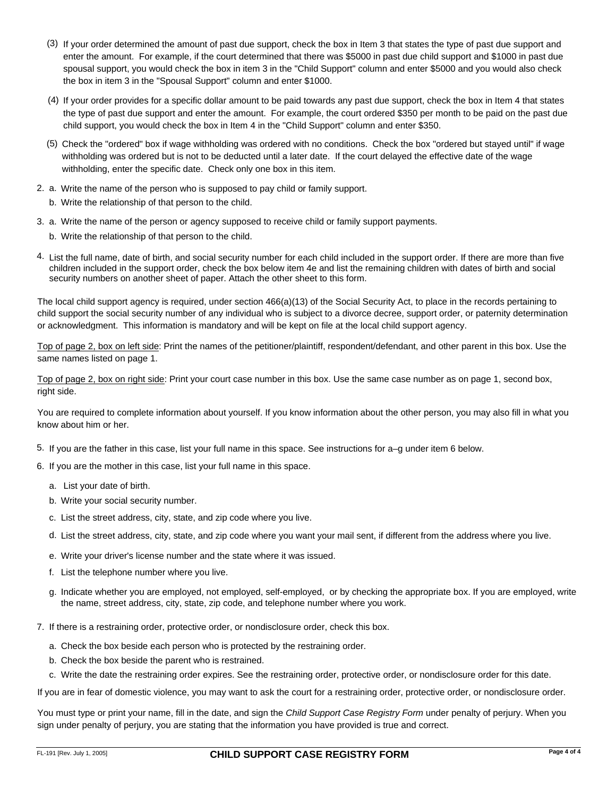- If your order determined the amount of past due support, check the box in Item 3 that states the type of past due support and (3) enter the amount. For example, if the court determined that there was \$5000 in past due child support and \$1000 in past due spousal support, you would check the box in item 3 in the "Child Support" column and enter \$5000 and you would also check the box in item 3 in the "Spousal Support" column and enter \$1000.
- If your order provides for a specific dollar amount to be paid towards any past due support, check the box in Item 4 that states (4) the type of past due support and enter the amount. For example, the court ordered \$350 per month to be paid on the past due child support, you would check the box in Item 4 in the "Child Support" column and enter \$350.
- (5) Check the "ordered" box if wage withholding was ordered with no conditions. Check the box "ordered but stayed until" if wage withholding was ordered but is not to be deducted until a later date. If the court delayed the effective date of the wage withholding, enter the specific date. Check only one box in this item.
- 2. a. Write the name of the person who is supposed to pay child or family support.
	- b. Write the relationship of that person to the child.
- 3. a. Write the name of the person or agency supposed to receive child or family support payments.
	- b. Write the relationship of that person to the child.
- 4. List the full name, date of birth, and social security number for each child included in the support order. If there are more than five children included in the support order, check the box below item 4e and list the remaining children with dates of birth and social security numbers on another sheet of paper. Attach the other sheet to this form.

The local child support agency is required, under section 466(a)(13) of the Social Security Act, to place in the records pertaining to child support the social security number of any individual who is subject to a divorce decree, support order, or paternity determination or acknowledgment. This information is mandatory and will be kept on file at the local child support agency.

Top of page 2, box on left side: Print the names of the petitioner/plaintiff, respondent/defendant, and other parent in this box. Use the same names listed on page 1.

Top of page 2, box on right side: Print your court case number in this box. Use the same case number as on page 1, second box, right side.

You are required to complete information about yourself. If you know information about the other person, you may also fill in what you know about him or her.

- 5. If you are the father in this case, list your full name in this space. See instructions for a-g under item 6 below.
- 6. If you are the mother in this case, list your full name in this space.
	- a. List your date of birth.
	- b. Write your social security number.
	- c. List the street address, city, state, and zip code where you live.
	- d. List the street address, city, state, and zip code where you want your mail sent, if different from the address where you live.
	- Write your driver's license number and the state where it was issued. e.
	- f. List the telephone number where you live.
	- g. Indicate whether you are employed, not employed, self-employed, or by checking the appropriate box. If you are employed, write the name, street address, city, state, zip code, and telephone number where you work.
- 7. If there is a restraining order, protective order, or nondisclosure order, check this box.
	- Check the box beside each person who is protected by the restraining order. a.
	- b. Check the box beside the parent who is restrained.
	- c. Write the date the restraining order expires. See the restraining order, protective order, or nondisclosure order for this date.

If you are in fear of domestic violence, you may want to ask the court for a restraining order, protective order, or nondisclosure order.

You must type or print your name, fill in the date, and sign the *Child Support Case Registry Form* under penalty of perjury. When you sign under penalty of perjury, you are stating that the information you have provided is true and correct.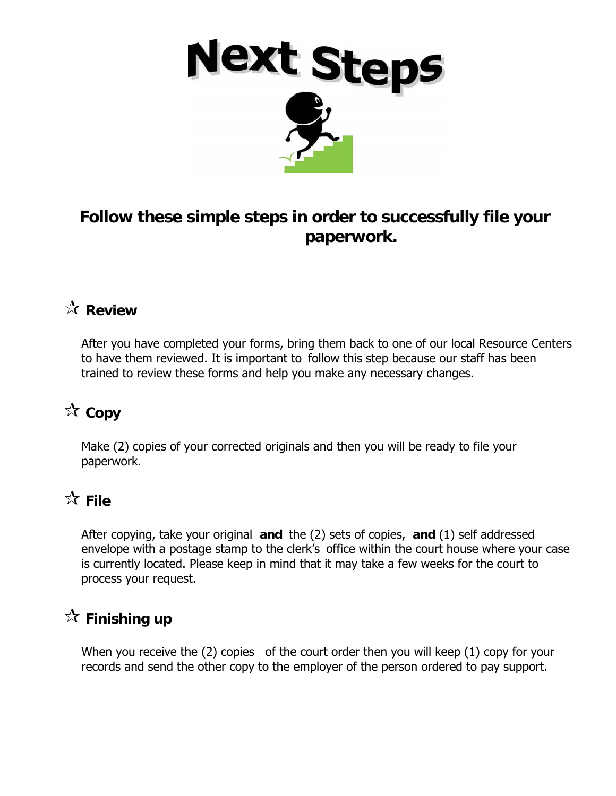

# **Follow these simple steps in order to successfully file your paperwork.**

# **Review**

After you have completed your forms, bring them back to one of our local Resource Centers to have them reviewed. It is important to follow this step because our staff has been trained to review these forms and help you make any necessary changes.

# **Copy**

Make (2) copies of your corrected originals and then you will be ready to file your paperwork.

# $\sqrt{\lambda}$  File

After copying, take your original **and** the (2) sets of copies, **and** (1) self addressed envelope with a postage stamp to the clerk's office within the court house where your case is currently located. Please keep in mind that it may take a few weeks for the court to process your request.

# $\sqrt[3]{}$  Finishing up

When you receive the (2) copies of the court order then you will keep (1) copy for your records and send the other copy to the employer of the person ordered to pay support.